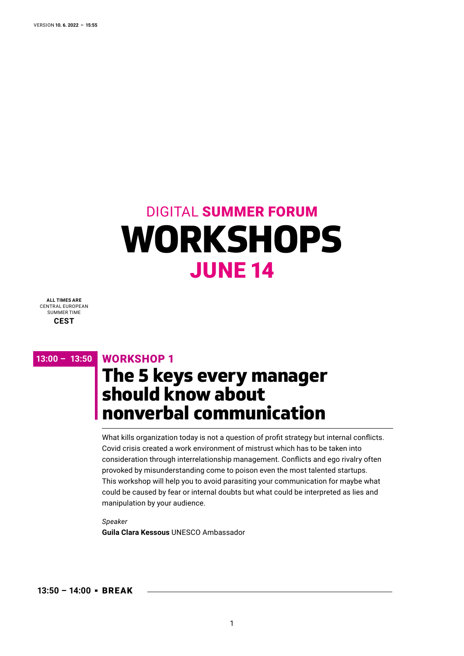# **WORKSHOPS** JUNE 14 DIGITAL SUMMER FORUM

**ALL TIMES ARE** CENTRAL EUROPEAN SUMMER TIME **CEST**

#### **13:00 – 13:50** WORKSHOP 1 **0**

## **The 5 keys every manager should know about nonverbal communication**

What kills organization today is not a question of profit strategy but internal conflicts. Covid crisis created a work environment of mistrust which has to be taken into consideration through interrelationship management. Conflicts and ego rivalry often provoked by misunderstanding come to poison even the most talented startups. This workshop will help you to avoid parasiting your communication for maybe what could be caused by fear or internal doubts but what could be interpreted as lies and manipulation by your audience.

*Speaker* 

**Guila Clara Kessous** UNESCO Ambassador

**13:50 – 14:00** BREAK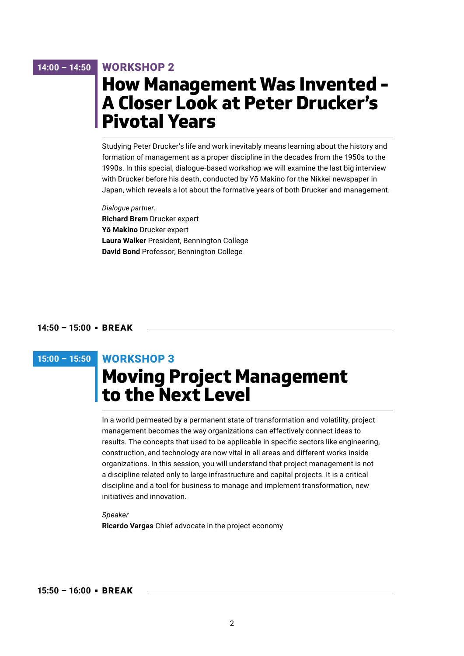#### **14:00 – 14:50** WORKSHOP 2 **0**

### **How Management Was Invented - A Closer Look at Peter Drucker's Pivotal Years**

Studying Peter Drucker's life and work inevitably means learning about the history and formation of management as a proper discipline in the decades from the 1950s to the 1990s. In this special, dialogue-based workshop we will examine the last big interview with Drucker before his death, conducted by Yō Makino for the Nikkei newspaper in Japan, which reveals a lot about the formative years of both Drucker and management.

*Dialogue partner:* **Richard Brem** Drucker expert **Yō Makino** Drucker expert **Laura Walker** President, Bennington College **David Bond** Professor, Bennington College

#### **14:50 – 15:00** BREAK

### **15:00 – 15:50** WORKSHOP 3 **0**

## **Moving Project Management to the Next Level**

In a world permeated by a permanent state of transformation and volatility, project management becomes the way organizations can effectively connect ideas to results. The concepts that used to be applicable in specific sectors like engineering, construction, and technology are now vital in all areas and different works inside organizations. In this session, you will understand that project management is not a discipline related only to large infrastructure and capital projects. It is a critical discipline and a tool for business to manage and implement transformation, new initiatives and innovation.

### *Speaker* **Ricardo Vargas** Chief advocate in the project economy

#### **15:50 – 16:00** BREAK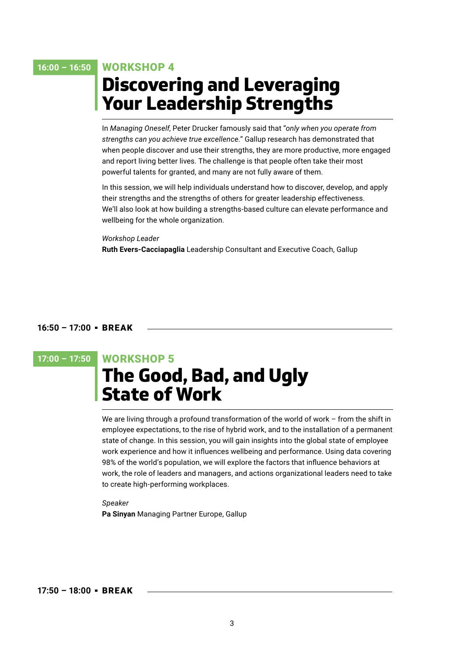#### **16:00 – 16:50** WORKSHOP 4 **0**

## **Discovering and Leveraging Your Leadership Strengths**

In *Managing Oneself*, Peter Drucker famously said that "*only when you operate from strengths can you achieve true excellence.*" Gallup research has demonstrated that when people discover and use their strengths, they are more productive, more engaged and report living better lives. The challenge is that people often take their most powerful talents for granted, and many are not fully aware of them.

In this session, we will help individuals understand how to discover, develop, and apply their strengths and the strengths of others for greater leadership effectiveness. We'll also look at how building a strengths-based culture can elevate performance and wellbeing for the whole organization.

#### *Workshop Leader*

**Ruth Evers-Cacciapaglia** Leadership Consultant and Executive Coach, Gallup

#### **16:50 – 17:00** BREAK

### **17:00 – 17:50** WORKSHOP 5 **0**

## **The Good, Bad, and Ugly State of Work**

We are living through a profound transformation of the world of work – from the shift in employee expectations, to the rise of hybrid work, and to the installation of a permanent state of change. In this session, you will gain insights into the global state of employee work experience and how it influences wellbeing and performance. Using data covering 98% of the world's population, we will explore the factors that influence behaviors at work, the role of leaders and managers, and actions organizational leaders need to take to create high-performing workplaces.

*Speaker* **Pa Sinyan** Managing Partner Europe, Gallup

**17:50 – 18:00** BREAK